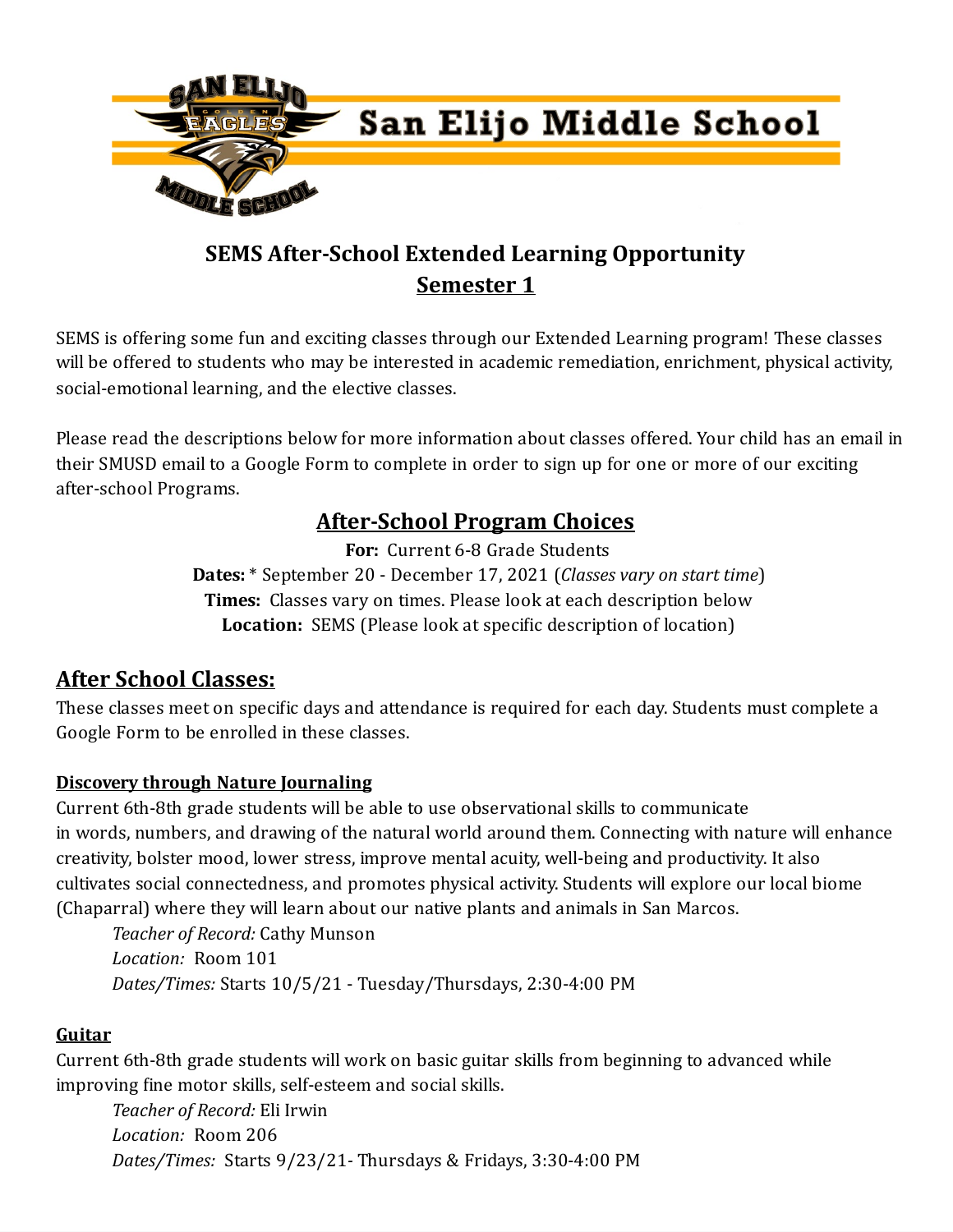

# **SEMS After-School Extended Learning Opportunity Semester 1**

SEMS is offering some fun and exciting classes through our Extended Learning program! These classes will be offered to students who may be interested in academic remediation, enrichment, physical activity, social-emotional learning, and the elective classes.

Please read the descriptions below for more information about classes offered. Your child has an email in their SMUSD email to a Google Form to complete in order to sign up for one or more of our exciting after-school Programs.

# **After-School Program Choices**

**For:** Current 6-8 Grade Students **Dates:** \* September 20 - December 17, 2021 (*Classes vary on start time*) **Times:** Classes vary on times. Please look at each description below **Location:** SEMS (Please look at specific description of location)

# **After School Classes:**

These classes meet on specific days and attendance is required for each day. Students must complete a Google Form to be enrolled in these classes.

## **Discovery through Nature Journaling**

Current 6th-8th grade students will be able to use observational skills to communicate in words, numbers, and drawing of the natural world around them. Connecting with nature will enhance creativity, bolster mood, lower stress, improve mental acuity, well-being and productivity. It also cultivates social connectedness, and promotes physical activity. Students will explore our local biome (Chaparral) where they will learn about our native plants and animals in San Marcos.

*Teacher of Record:* Cathy Munson *Location:* Room 101 *Dates/Times:* Starts 10/5/21 - Tuesday/Thursdays, 2:30-4:00 PM

## **Guitar**

Current 6th-8th grade students will work on basic guitar skills from beginning to advanced while improving fine motor skills, self-esteem and social skills.

*Teacher of Record:* Eli Irwin *Location:* Room 206 *Dates/Times:* Starts 9/23/21*-* Thursdays & Fridays, 3:30-4:00 PM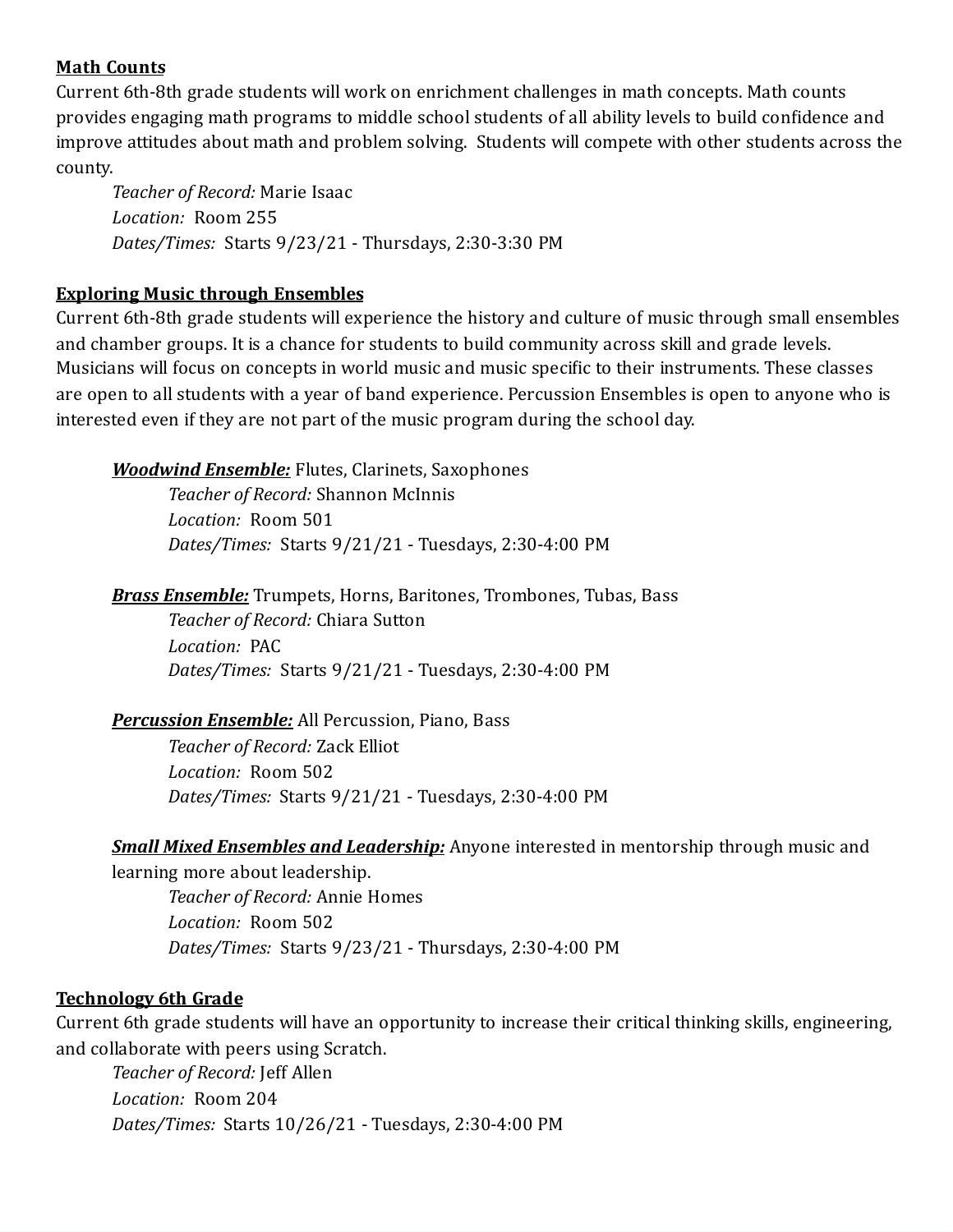#### **Math Counts**

Current 6th-8th grade students will work on enrichment challenges in math concepts. Math counts provides engaging math programs to middle school students of all ability levels to build confidence and improve attitudes about math and problem solving. Students will compete with other students across the county.

*Teacher of Record:* Marie Isaac *Location:* Room 255 *Dates/Times:* Starts 9/23/21 - Thursdays, 2:30-3:30 PM

#### **Exploring Music through Ensembles**

Current 6th-8th grade students will experience the history and culture of music through small ensembles and chamber groups. It is a chance for students to build community across skill and grade levels. Musicians will focus on concepts in world music and music specific to their instruments. These classes are open to all students with a year of band experience. Percussion Ensembles is open to anyone who is interested even if they are not part of the music program during the school day.

*Woodwind Ensemble:* Flutes, Clarinets, Saxophones

*Teacher of Record:* Shannon McInnis *Location:* Room 501 *Dates/Times:* Starts 9/21/21 - Tuesdays, 2:30-4:00 PM

*Brass Ensemble:* Trumpets, Horns, Baritones, Trombones, Tubas, Bass *Teacher of Record:* Chiara Sutton *Location:* PAC *Dates/Times:* Starts 9/21/21 - Tuesdays, 2:30-4:00 PM

*Percussion Ensemble:* All Percussion, Piano, Bass *Teacher of Record:* Zack Elliot *Location:* Room 502 *Dates/Times:* Starts 9/21/21 - Tuesdays, 2:30-4:00 PM

*Small Mixed Ensembles and Leadership:* Anyone interested in mentorship through music and learning more about leadership.

*Teacher of Record:* Annie Homes *Location:* Room 502 *Dates/Times:* Starts 9/23/21 - Thursdays, 2:30-4:00 PM

#### **Technology 6th Grade**

Current 6th grade students will have an opportunity to increase their critical thinking skills, engineering, and collaborate with peers using Scratch.

*Teacher of Record:* Jeff Allen *Location:* Room 204 *Dates/Times:* Starts 10/26/21 - Tuesdays, 2:30-4:00 PM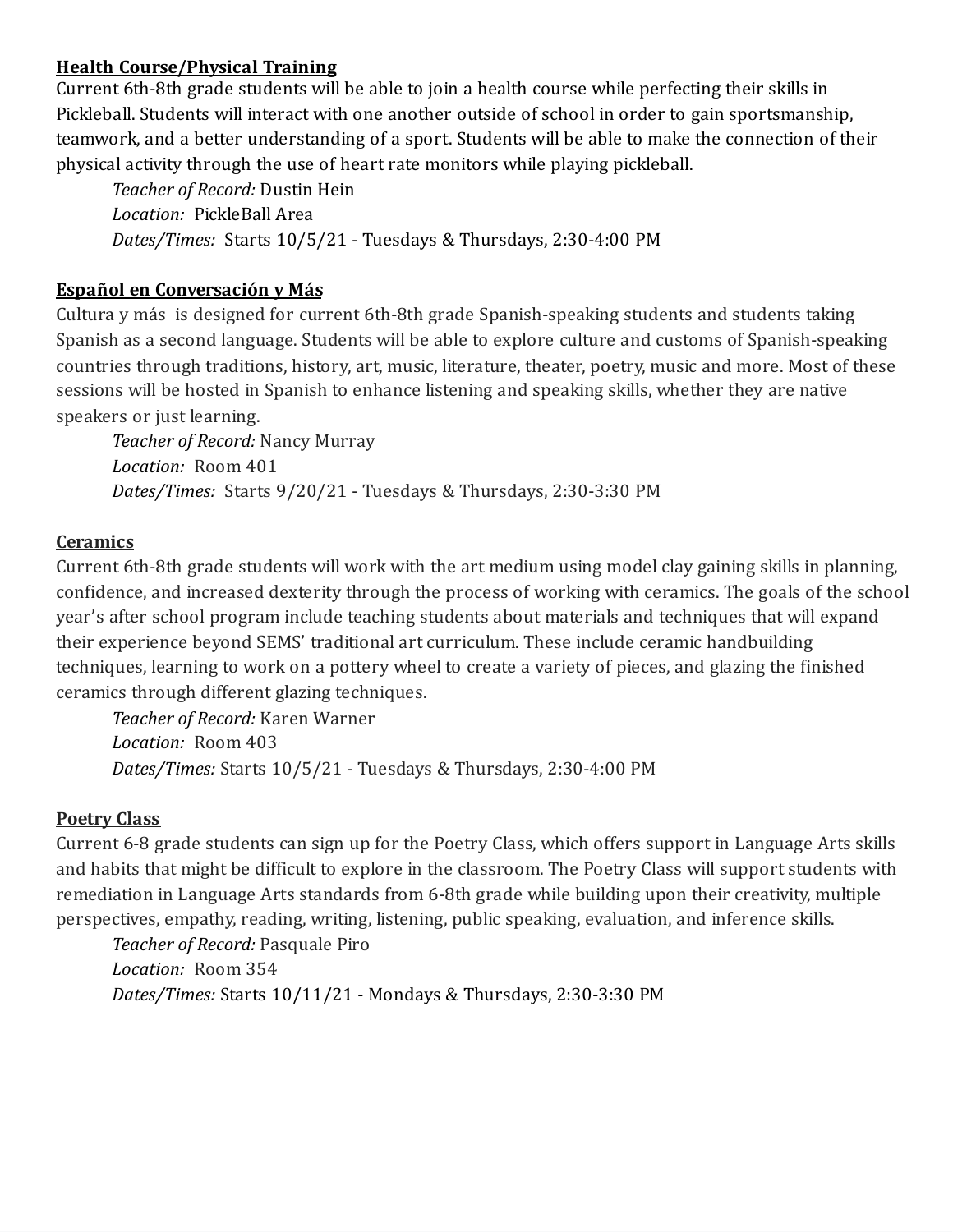#### **Health Course/Physical Training**

Current 6th-8th grade students will be able to join a health course while perfecting their skills in Pickleball. Students will interact with one another outside of school in order to gain sportsmanship, teamwork, and a better understanding of a sport. Students will be able to make the connection of their physical activity through the use of heart rate monitors while playing pickleball.

*Teacher of Record:* Dustin Hein *Location:* PickleBall Area *Dates/Times:* Starts 10/5/21 - Tuesdays & Thursdays, 2:30-4:00 PM

### **Español en Conversación y Más**

Cultura y más is designed for current 6th-8th grade Spanish-speaking students and students taking Spanish as a second language. Students will be able to explore culture and customs of Spanish-speaking countries through traditions, history, art, music, literature, theater, poetry, music and more. Most of these sessions will be hosted in Spanish to enhance listening and speaking skills, whether they are native speakers or just learning.

*Teacher of Record:* Nancy Murray *Location:* Room 401 *Dates/Times:* Starts 9/20/21 - Tuesdays & Thursdays, 2:30-3:30 PM

#### **Ceramics**

Current 6th-8th grade students will work with the art medium using model clay gaining skills in planning, confidence, and increased dexterity through the process of working with ceramics. The goals of the school year's after school program include teaching students about materials and techniques that will expand their experience beyond SEMS' traditional art curriculum. These include ceramic handbuilding techniques, learning to work on a pottery wheel to create a variety of pieces, and glazing the finished ceramics through different glazing techniques.

*Teacher of Record:* Karen Warner *Location:* Room 403 *Dates/Times:* Starts 10/5/21 - Tuesdays & Thursdays, 2:30-4:00 PM

## **Poetry Class**

Current 6-8 grade students can sign up for the Poetry Class, which offers support in Language Arts skills and habits that might be difficult to explore in the classroom. The Poetry Class will support students with remediation in Language Arts standards from 6-8th grade while building upon their creativity, multiple perspectives, empathy, reading, writing, listening, public speaking, evaluation, and inference skills.

*Teacher of Record:* Pasquale Piro *Location:* Room 354 *Dates/Times:* Starts 10/11/21 - Mondays & Thursdays, 2:30-3:30 PM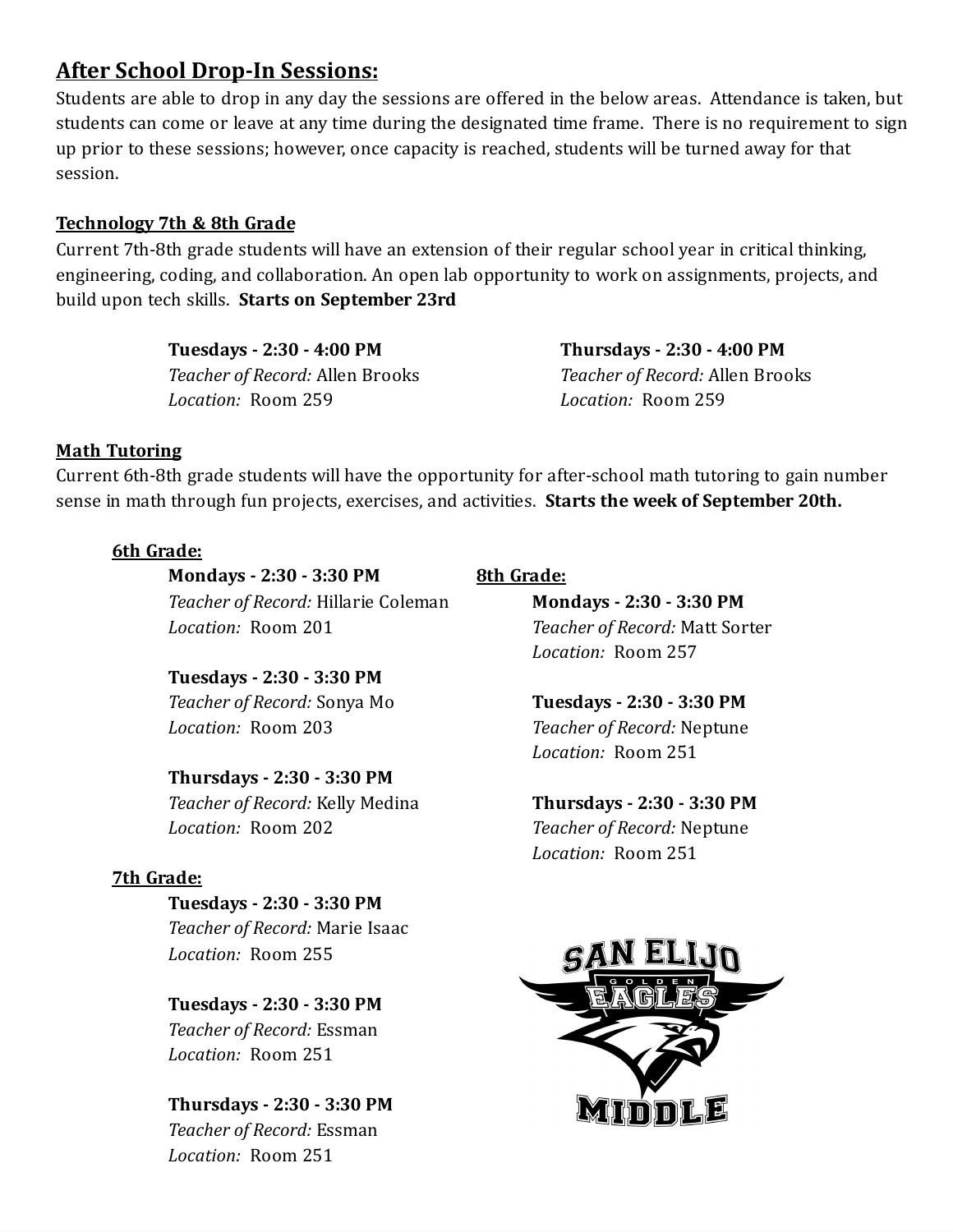# **After School Drop-In Sessions:**

Students are able to drop in any day the sessions are offered in the below areas. Attendance is taken, but students can come or leave at any time during the designated time frame. There is no requirement to sign up prior to these sessions; however, once capacity is reached, students will be turned away for that session.

#### **Technology 7th & 8th Grade**

Current 7th-8th grade students will have an extension of their regular school year in critical thinking, engineering, coding, and collaboration. An open lab opportunity to work on assignments, projects, and build upon tech skills. **Starts on September 23rd**

> **Tuesdays - 2:30 - 4:00 PM** *Teacher of Record:* Allen Brooks *Location:* Room 259

**Thursdays - 2:30 - 4:00 PM** *Teacher of Record:* Allen Brooks *Location:* Room 259

#### **Math Tutoring**

Current 6th-8th grade students will have the opportunity for after-school math tutoring to gain number sense in math through fun projects, exercises, and activities. **Starts the week of September 20th.**

#### **6th Grade:**

**Mondays - 2:30 - 3:30 PM** *Teacher of Record:* Hillarie Coleman *Location:* Room 201

**Tuesdays - 2:30 - 3:30 PM** *Teacher of Record:* Sonya Mo *Location:* Room 203

## **Thursdays - 2:30 - 3:30 PM**

*Teacher of Record:* Kelly Medina *Location:* Room 202

#### **7th Grade:**

**Tuesdays - 2:30 - 3:30 PM** *Teacher of Record:* Marie Isaac *Location:* Room 255

**Tuesdays - 2:30 - 3:30 PM** *Teacher of Record:* Essman *Location:* Room 251

**Thursdays - 2:30 - 3:30 PM** *Teacher of Record:* Essman *Location:* Room 251

# **8th Grade:**

**Mondays - 2:30 - 3:30 PM** *Teacher of Record:* Matt Sorter *Location:* Room 257

**Tuesdays - 2:30 - 3:30 PM** *Teacher of Record:* Neptune *Location:* Room 251

**Thursdays - 2:30 - 3:30 PM** *Teacher of Record:* Neptune *Location:* Room 251